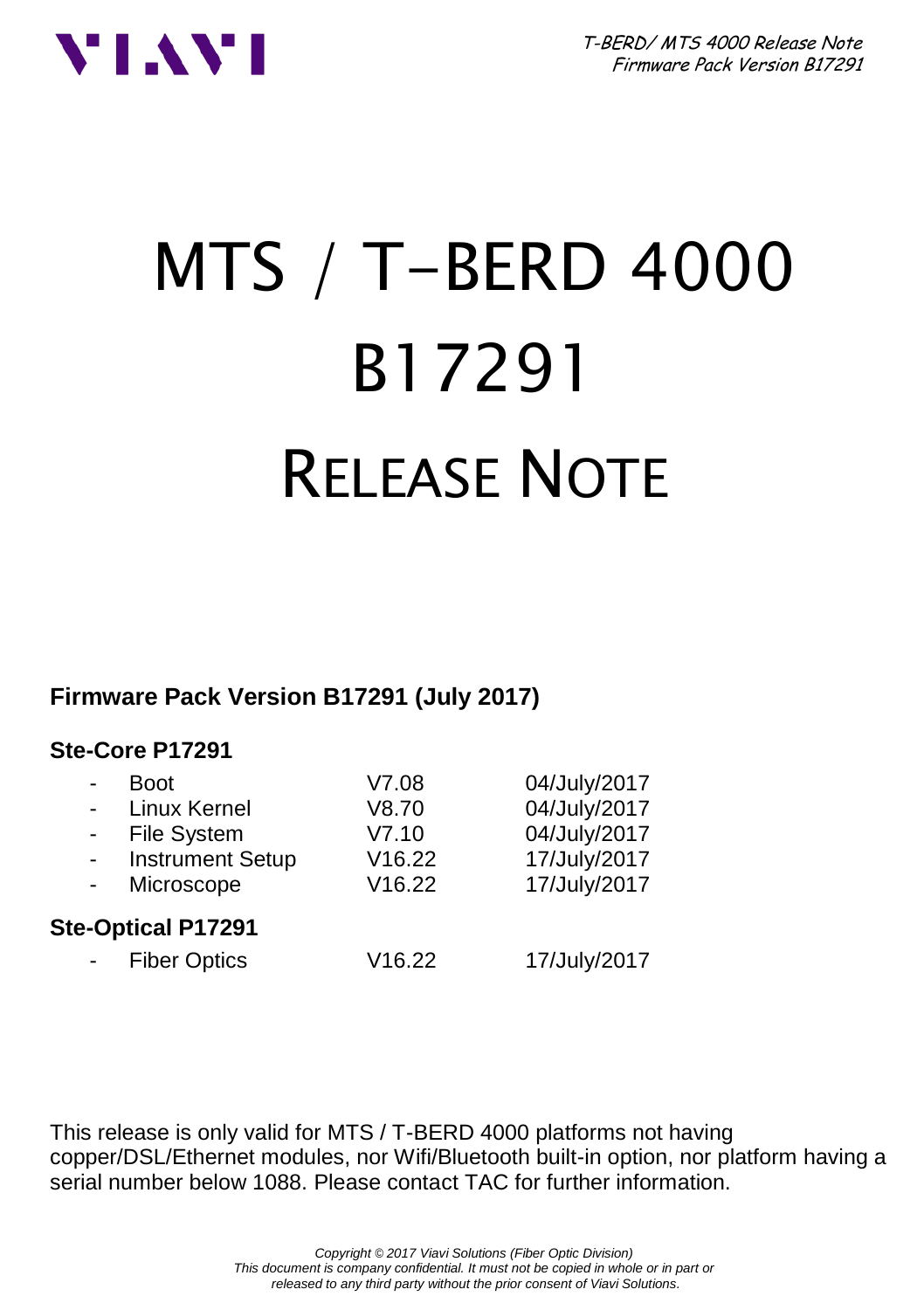



# MTS / T-BERD 4000 B17291 RELEASE NOTE

**Firmware Pack Version B17291 (July 2017)**

#### **Ste-Core P17291**

|                           | <b>Boot</b>             | V7.08  | 04/July/2017 |  |
|---------------------------|-------------------------|--------|--------------|--|
|                           | Linux Kernel            | V8.70  | 04/July/2017 |  |
|                           | <b>File System</b>      | V7.10  | 04/July/2017 |  |
|                           | <b>Instrument Setup</b> | V16.22 | 17/July/2017 |  |
|                           | Microscope              | V16.22 | 17/July/2017 |  |
| <b>Ste-Optical P17291</b> |                         |        |              |  |
|                           | <b>Fiber Optics</b>     | V16.22 | 17/July/2017 |  |
|                           |                         |        |              |  |

This release is only valid for MTS / T-BERD 4000 platforms not having copper/DSL/Ethernet modules, nor Wifi/Bluetooth built-in option, nor platform having a serial number below 1088. Please contact TAC for further information.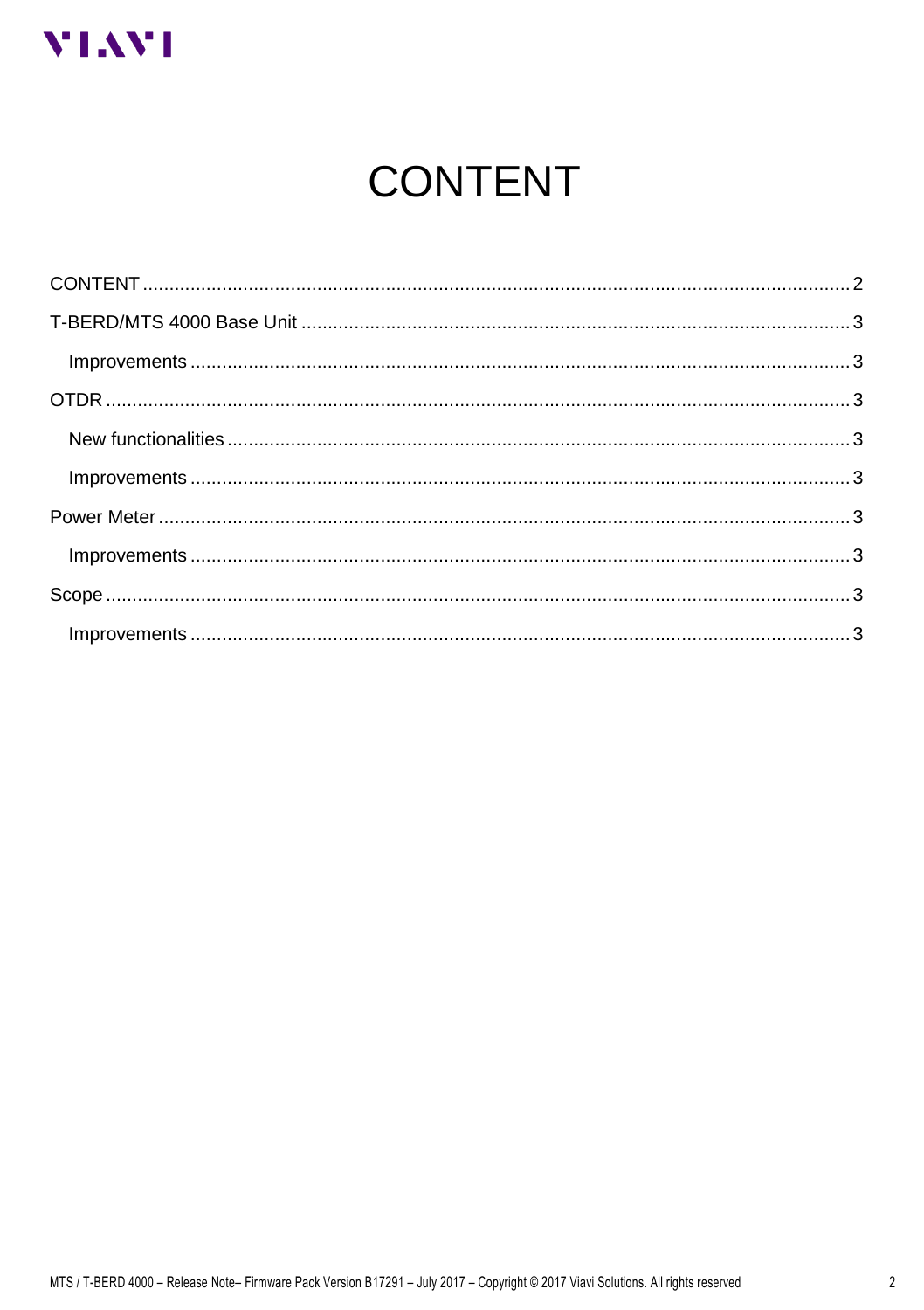<span id="page-1-0"></span>

# **CONTENT**

| $Improvements \dots 3$ |  |  |
|------------------------|--|--|
|                        |  |  |
|                        |  |  |